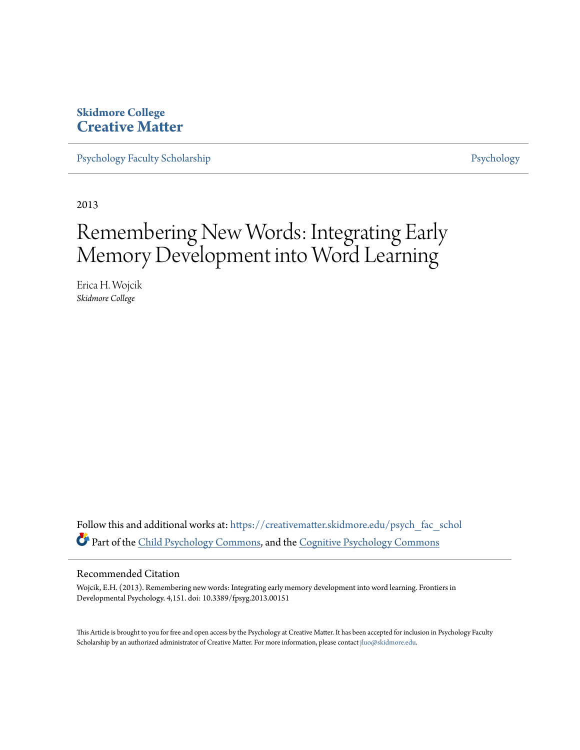### **Skidmore College [Creative Matter](https://creativematter.skidmore.edu?utm_source=creativematter.skidmore.edu%2Fpsych_fac_schol%2F5&utm_medium=PDF&utm_campaign=PDFCoverPages)**

[Psychology Faculty Scholarship](https://creativematter.skidmore.edu/psych_fac_schol?utm_source=creativematter.skidmore.edu%2Fpsych_fac_schol%2F5&utm_medium=PDF&utm_campaign=PDFCoverPages) [Psychology](https://creativematter.skidmore.edu/psych?utm_source=creativematter.skidmore.edu%2Fpsych_fac_schol%2F5&utm_medium=PDF&utm_campaign=PDFCoverPages) Psychology

2013

# Remembering New Words: Integrating Early Memory Development into Word Learning

Erica H. Wojcik *Skidmore College*

Follow this and additional works at: [https://creativematter.skidmore.edu/psych\\_fac\\_schol](https://creativematter.skidmore.edu/psych_fac_schol?utm_source=creativematter.skidmore.edu%2Fpsych_fac_schol%2F5&utm_medium=PDF&utm_campaign=PDFCoverPages) Part of the [Child Psychology Commons](http://network.bepress.com/hgg/discipline/1023?utm_source=creativematter.skidmore.edu%2Fpsych_fac_schol%2F5&utm_medium=PDF&utm_campaign=PDFCoverPages), and the [Cognitive Psychology Commons](http://network.bepress.com/hgg/discipline/408?utm_source=creativematter.skidmore.edu%2Fpsych_fac_schol%2F5&utm_medium=PDF&utm_campaign=PDFCoverPages)

#### Recommended Citation

Wojcik, E.H. (2013). Remembering new words: Integrating early memory development into word learning. Frontiers in Developmental Psychology. 4,151. doi: 10.3389/fpsyg.2013.00151

This Article is brought to you for free and open access by the Psychology at Creative Matter. It has been accepted for inclusion in Psychology Faculty Scholarship by an authorized administrator of Creative Matter. For more information, please contact [jluo@skidmore.edu](mailto:jluo@skidmore.edu).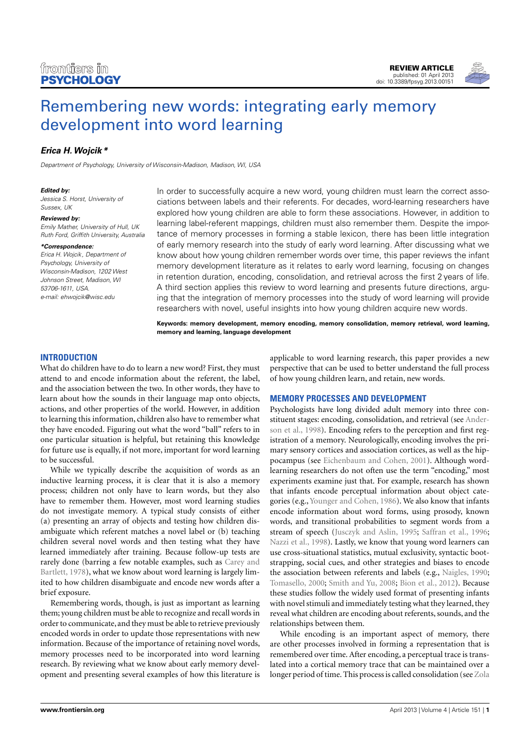

## [Remembering new words: integrating early memory](http://www.frontiersin.org/Developmental_Psychology/10.3389/fpsyg.2013.00151/abstract) [development into word learning](http://www.frontiersin.org/Developmental_Psychology/10.3389/fpsyg.2013.00151/abstract)

#### **[Erica H.Wojcik \\*](http://www.frontiersin.org/Community/WhosWhoActivity.aspx?sname=EricaWojcik&UID=78188)**

Department of Psychology, University of Wisconsin-Madison, Madison, WI, USA

#### **Edited by:**

Jessica S. Horst, University of Sussex, UK

#### **Reviewed by:**

Emily Mather, University of Hull, UK Ruth Ford, Griffith University, Australia

**\*Correspondence:**

#### Erica H. Wojcik, Department of Psychology, University of Wisconsin-Madison, 1202 West Johnson Street, Madison, WI 53706-1611, USA. e-mail: [ehwojcik@wisc.edu](mailto:ehwojcik@wisc.edu)

In order to successfully acquire a new word, young children must learn the correct associations between labels and their referents. For decades, word-learning researchers have explored how young children are able to form these associations. However, in addition to learning label-referent mappings, children must also remember them. Despite the importance of memory processes in forming a stable lexicon, there has been little integration of early memory research into the study of early word learning. After discussing what we know about how young children remember words over time, this paper reviews the infant memory development literature as it relates to early word learning, focusing on changes in retention duration, encoding, consolidation, and retrieval across the first 2 years of life. A third section applies this review to word learning and presents future directions, arguing that the integration of memory processes into the study of word learning will provide researchers with novel, useful insights into how young children acquire new words.

**Keywords: memory development, memory encoding, memory consolidation, memory retrieval, word learning, memory and learning, language development**

#### **INTRODUCTION**

What do children have to do to learn a new word? First, they must attend to and encode information about the referent, the label, and the association between the two. In other words, they have to learn about how the sounds in their language map onto objects, actions, and other properties of the world. However, in addition to learning this information, children also have to remember what they have encoded. Figuring out what the word "ball" refers to in one particular situation is helpful, but retaining this knowledge for future use is equally, if not more, important for word learning to be successful.

While we typically describe the acquisition of words as an inductive learning process, it is clear that it is also a memory process; children not only have to learn words, but they also have to remember them. However, most word learning studies do not investigate memory. A typical study consists of either (a) presenting an array of objects and testing how children disambiguate which referent matches a novel label or (b) teaching children several novel words and then testing what they have learned immediately after training. Because follow-up tests are rarely done (barring a few notable examples, such as [Carey and](#page-11-0) [Bartlett, 1978\)](#page-11-0), what we know about word learning is largely limited to how children disambiguate and encode new words after a brief exposure.

Remembering words, though, is just as important as learning them; young children must be able to recognize and recall words in order to communicate, and they must be able to retrieve previously encoded words in order to update those representations with new information. Because of the importance of retaining novel words, memory processes need to be incorporated into word learning research. By reviewing what we know about early memory development and presenting several examples of how this literature is applicable to word learning research, this paper provides a new perspective that can be used to better understand the full process of how young children learn, and retain, new words.

#### **MEMORY PROCESSES AND DEVELOPMENT**

Psychologists have long divided adult memory into three constituent stages: encoding, consolidation, and retrieval (see [Ander](#page-10-0)[son et al., 1998\)](#page-10-0). Encoding refers to the perception and first registration of a memory. Neurologically, encoding involves the primary sensory cortices and association cortices, as well as the hippocampus (see [Eichenbaum and Cohen, 2001\)](#page-11-1). Although wordlearning researchers do not often use the term "encoding," most experiments examine just that. For example, research has shown that infants encode perceptual information about object categories (e.g., [Younger and Cohen, 1986\)](#page-12-0). We also know that infants encode information about word forms, using prosody, known words, and transitional probabilities to segment words from a stream of speech [\(Jusczyk and Aslin, 1995;](#page-11-2) [Saffran et al., 1996;](#page-12-1) [Nazzi et al., 1998\)](#page-11-3). Lastly, we know that young word learners can use cross-situational statistics, mutual exclusivity, syntactic bootstrapping, social cues, and other strategies and biases to encode the association between referents and labels (e.g., [Naigles, 1990;](#page-11-4) [Tomasello, 2000;](#page-12-2) [Smith and Yu, 2008;](#page-12-3) [Bion et al., 2012\)](#page-11-5). Because these studies follow the widely used format of presenting infants with novel stimuli and immediately testing what they learned, they reveal what children are encoding about referents, sounds, and the relationships between them.

While encoding is an important aspect of memory, there are other processes involved in forming a representation that is remembered over time. After encoding, a perceptual trace is translated into a cortical memory trace that can be maintained over a longer period of time. This process is called consolidation (see [Zola](#page-12-4)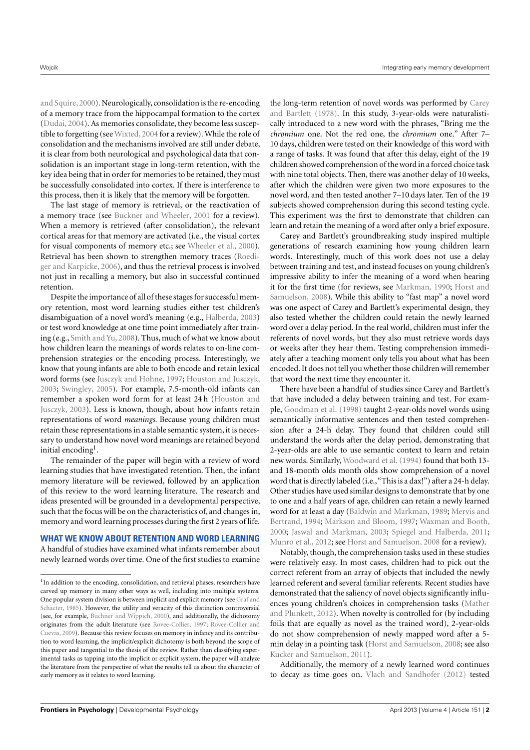[and Squire,](#page-12-4) [2000\)](#page-12-4). Neurologically, consolidation is the re-encoding of a memory trace from the hippocampal formation to the cortex [\(Dudai,](#page-11-6) [2004\)](#page-11-6). As memories consolidate, they become less susceptible to forgetting (see[Wixted,](#page-12-5) [2004](#page-12-5) for a review).While the role of consolidation and the mechanisms involved are still under debate, it is clear from both neurological and psychological data that consolidation is an important stage in long-term retention, with the key idea being that in order for memories to be retained, they must be successfully consolidated into cortex. If there is interference to this process, then it is likely that the memory will be forgotten.

The last stage of memory is retrieval, or the reactivation of a memory trace (see [Buckner and Wheeler,](#page-11-7) [2001](#page-11-7) for a review). When a memory is retrieved (after consolidation), the relevant cortical areas for that memory are activated (i.e., the visual cortex for visual components of memory etc.; see [Wheeler et al.,](#page-12-6) [2000\)](#page-12-6). Retrieval has been shown to strengthen memory traces [\(Roedi](#page-12-7)[ger and Karpicke,](#page-12-7) [2006\)](#page-12-7), and thus the retrieval process is involved not just in recalling a memory, but also in successful continued retention.

Despite the importance of all of these stages for successful memory retention, most word learning studies either test children's disambiguation of a novel word's meaning (e.g., [Halberda,](#page-11-8) [2003\)](#page-11-8) or test word knowledge at one time point immediately after training (e.g., [Smith and Yu,](#page-12-3) [2008\)](#page-12-3). Thus, much of what we know about how children learn the meanings of words relates to on-line comprehension strategies or the encoding process. Interestingly, we know that young infants are able to both encode and retain lexical word forms (see [Jusczyk and Hohne,](#page-11-9) [1997;](#page-11-9) [Houston and Jusczyk,](#page-11-10) [2003;](#page-11-10) [Swingley,](#page-12-8) [2005\)](#page-12-8). For example, 7.5-month-old infants can remember a spoken word form for at least 24 h [\(Houston and](#page-11-10) [Jusczyk,](#page-11-10) [2003\)](#page-11-10). Less is known, though, about how infants retain representations of word *meanings*. Because young children must retain these representations in a stable semantic system, it is necessary to understand how novel word meanings are retained beyond initial encoding<sup>[1](#page-2-0)</sup>.

The remainder of the paper will begin with a review of word learning studies that have investigated retention. Then, the infant memory literature will be reviewed, followed by an application of this review to the word learning literature. The research and ideas presented will be grounded in a developmental perspective, such that the focus will be on the characteristics of, and changes in, memory and word learning processes during the first 2 years of life.

#### **WHAT WE KNOW ABOUT RETENTION AND WORD LEARNING**

A handful of studies have examined what infants remember about newly learned words over time. One of the first studies to examine the long-term retention of novel words was performed by [Carey](#page-11-0) [and Bartlett](#page-11-0) [\(1978\)](#page-11-0). In this study, 3-year-olds were naturalistically introduced to a new word with the phrases, "Bring me the *chromium* one. Not the red one, the *chromium* one." After 7– 10 days, children were tested on their knowledge of this word with a range of tasks. It was found that after this delay, eight of the 19 children showed comprehension of the word in aforced choice task with nine total objects. Then, there was another delay of 10 weeks, after which the children were given two more exposures to the novel word, and then tested another 7–10 days later. Ten of the 19 subjects showed comprehension during this second testing cycle. This experiment was the first to demonstrate that children can learn and retain the meaning of a word after only a brief exposure.

Carey and Bartlett's groundbreaking study inspired multiple generations of research examining how young children learn words. Interestingly, much of this work does not use a delay between training and test, and instead focuses on young children's impressive ability to infer the meaning of a word when hearing it for the first time (for reviews, see [Markman,](#page-11-13) [1990;](#page-11-13) [Horst and](#page-11-14) [Samuelson,](#page-11-14) [2008\)](#page-11-14). While this ability to "fast map" a novel word was one aspect of Carey and Bartlett's experimental design, they also tested whether the children could retain the newly learned word over a delay period. In the real world, children must infer the referents of novel words, but they also must retrieve words days or weeks after they hear them. Testing comprehension immediately after a teaching moment only tells you about what has been encoded. It does not tell you whether those children will remember that word the next time they encounter it.

There have been a handful of studies since Carey and Bartlett's that have included a delay between training and test. For example, [Goodman et al.](#page-11-15) [\(1998\)](#page-11-15) taught 2-year-olds novel words using semantically informative sentences and then tested comprehension after a 24-h delay. They found that children could still understand the words after the delay period, demonstrating that 2-year-olds are able to use semantic context to learn and retain new words. Similarly, [Woodward et al.](#page-12-11) [\(1994\)](#page-12-11) found that both 13 and 18-month olds month olds show comprehension of a novel word that is directly labeled (i.e.,"This is a dax!") after a 24-h delay. Other studies have used similar designs to demonstrate that by one to one and a half years of age, children can retain a newly learned word for at least a day [\(Baldwin and Markman,](#page-10-1) [1989;](#page-10-1) [Mervis and](#page-11-16) [Bertrand,](#page-11-16) [1994;](#page-11-16) [Markson and Bloom,](#page-11-17) [1997;](#page-11-17) [Waxman and Booth,](#page-12-12) [2000;](#page-12-12) [Jaswal and Markman,](#page-11-18) [2003;](#page-11-18) [Spiegel and Halberda,](#page-12-13) [2011;](#page-12-13) [Munro et al.,](#page-11-19) [2012;](#page-11-19) see [Horst and Samuelson,](#page-11-14) [2008](#page-11-14) for a review).

Notably, though, the comprehension tasks used in these studies were relatively easy. In most cases, children had to pick out the correct referent from an array of objects that included the newly learned referent and several familiar referents. Recent studies have demonstrated that the saliency of novel objects significantly influences young children's choices in comprehension tasks [\(Mather](#page-11-20) [and Plunkett,](#page-11-20) [2012\)](#page-11-20). When novelty is controlled for (by including foils that are equally as novel as the trained word), 2-year-olds do not show comprehension of newly mapped word after a 5 min delay in a pointing task [\(Horst and Samuelson,](#page-11-14) [2008;](#page-11-14) see also [Kucker and Samuelson,](#page-11-21) [2011\)](#page-11-21).

Additionally, the memory of a newly learned word continues to decay as time goes on. [Vlach and Sandhofer](#page-12-14) [\(2012\)](#page-12-14) tested

<span id="page-2-0"></span><sup>&</sup>lt;sup>1</sup>In addition to the encoding, consolidation, and retrieval phases, researchers have carved up memory in many other ways as well, including into multiple systems. One popular system division is between implicit and explicit memory (see [Graf and](#page-11-11) [Schacter,](#page-11-11) [1985\)](#page-11-11). However, the utility and veracity of this distinction controversial (see, for example, [Buchner and Wippich,](#page-11-12) [2000\)](#page-11-12), and additionally, the dichotomy originates from the adult literature (see [Rovee-Collier,](#page-12-9) [1997;](#page-12-9) [Rovee-Collier and](#page-12-10) [Cuevas,](#page-12-10) [2009\)](#page-12-10). Because this review focuses on memory in infancy and its contribution to word learning, the implicit/explicit dichotomy is both beyond the scope of this paper and tangential to the thesis of the review. Rather than classifying experimental tasks as tapping into the implicit or explicit system, the paper will analyze the literature from the perspective of what the results tell us about the character of early memory as it relates to word learning.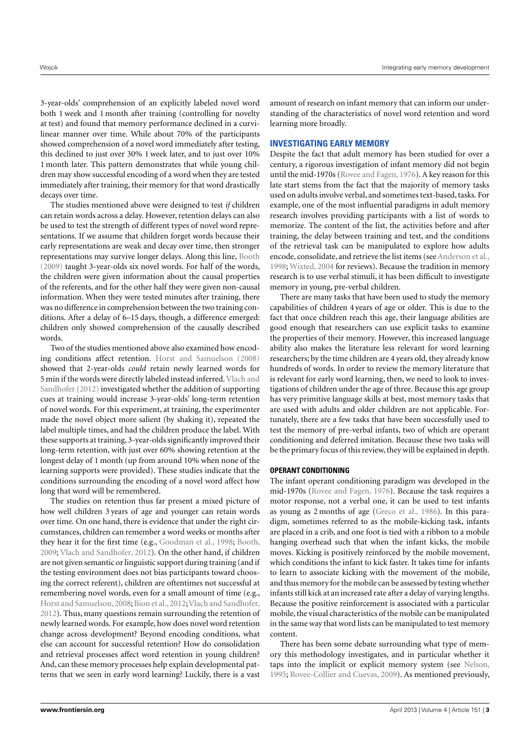3-year-olds' comprehension of an explicitly labeled novel word both 1 week and 1 month after training (controlling for novelty at test) and found that memory performance declined in a curvilinear manner over time. While about 70% of the participants showed comprehension of a novel word immediately after testing, this declined to just over 30% 1 week later, and to just over 10% 1 month later. This pattern demonstrates that while young children may show successful encoding of a word when they are tested immediately after training, their memory for that word drastically decays over time.

The studies mentioned above were designed to test *if* children can retain words across a delay. However, retention delays can also be used to test the strength of different types of novel word representations. If we assume that children forget words because their early representations are weak and decay over time, then stronger representations may survive longer delays. Along this line, [Booth](#page-11-22) [\(2009\)](#page-11-22) taught 3-year-olds six novel words. For half of the words, the children were given information about the causal properties of the referents, and for the other half they were given non-causal information. When they were tested minutes after training, there was no difference in comprehension between the two training conditions. After a delay of 6–15 days, though, a difference emerged: children only showed comprehension of the causally described words.

Two of the studies mentioned above also examined how encoding conditions affect retention. [Horst and Samuelson](#page-11-14) [\(2008\)](#page-11-14) showed that 2-year-olds *could* retain newly learned words for 5 min if the words were directly labeled instead inferred. [Vlach and](#page-12-14) [Sandhofer](#page-12-14) [\(2012\)](#page-12-14) investigated whether the addition of supporting cues at training would increase 3-year-olds' long-term retention of novel words. For this experiment, at training, the experimenter made the novel object more salient (by shaking it), repeated the label multiple times, and had the children produce the label. With these supports at training, 3-year-olds significantly improved their long-term retention, with just over 60% showing retention at the longest delay of 1 month (up from around 10% when none of the learning supports were provided). These studies indicate that the conditions surrounding the encoding of a novel word affect how long that word will be remembered.

The studies on retention thus far present a mixed picture of how well children 3 years of age and younger can retain words over time. On one hand, there is evidence that under the right circumstances, children can remember a word weeks or months after they hear it for the first time (e.g., [Goodman et al.,](#page-11-15) [1998;](#page-11-15) [Booth,](#page-11-22) [2009;](#page-11-22) [Vlach and Sandhofer,](#page-12-14) [2012\)](#page-12-14). On the other hand, if children are not given semantic or linguistic support during training (and if the testing environment does not bias participants toward choosing the correct referent), children are oftentimes not successful at remembering novel words, even for a small amount of time (e.g., Horst and Samuelson, 2008; [Bion et al.,](#page-11-5) [2012;](#page-11-5) [Vlach and Sandhofer,](#page-12-14) [2012\)](#page-12-14). Thus, many questions remain surrounding the retention of newly learned words. For example, how does novel word retention change across development? Beyond encoding conditions, what else can account for successful retention? How do consolidation and retrieval processes affect word retention in young children? And, can these memory processes help explain developmental patterns that we seen in early word learning? Luckily, there is a vast

amount of research on infant memory that can inform our understanding of the characteristics of novel word retention and word learning more broadly.

#### **INVESTIGATING EARLY MEMORY**

Despite the fact that adult memory has been studied for over a century, a rigorous investigation of infant memory did not begin until the mid-1970s [\(Rovee and Fagen,](#page-12-15) [1976\)](#page-12-15). A key reason for this late start stems from the fact that the majority of memory tasks used on adults involve verbal, and sometimes text-based, tasks. For example, one of the most influential paradigms in adult memory research involves providing participants with a list of words to memorize. The content of the list, the activities before and after training, the delay between training and test, and the conditions of the retrieval task can be manipulated to explore how adults encode, consolidate, and retrieve the list items (see [Anderson et al.,](#page-10-0) [1998;](#page-10-0) [Wixted,](#page-12-5) [2004](#page-12-5) for reviews). Because the tradition in memory research is to use verbal stimuli, it has been difficult to investigate memory in young, pre-verbal children.

There are many tasks that have been used to study the memory capabilities of children 4 years of age or older. This is due to the fact that once children reach this age, their language abilities are good enough that researchers can use explicit tasks to examine the properties of their memory. However, this increased language ability also makes the literature less relevant for word learning researchers; by the time children are 4 years old, they already know hundreds of words. In order to review the memory literature that is relevant for early word learning, then, we need to look to investigations of children under the age of three. Because this age group has very primitive language skills at best, most memory tasks that are used with adults and older children are not applicable. Fortunately, there are a few tasks that have been successfully used to test the memory of pre-verbal infants, two of which are operant conditioning and deferred imitation. Because these two tasks will be the primary focus of this review, they will be explained in depth.

#### **OPERANT CONDITIONING**

The infant operant conditioning paradigm was developed in the mid-1970s [\(Rovee and Fagen,](#page-12-15) [1976\)](#page-12-15). Because the task requires a motor response, not a verbal one, it can be used to test infants as young as 2 months of age [\(Greco et al.,](#page-11-23) [1986\)](#page-11-23). In this paradigm, sometimes referred to as the mobile-kicking task, infants are placed in a crib, and one foot is tied with a ribbon to a mobile hanging overhead such that when the infant kicks, the mobile moves. Kicking is positively reinforced by the mobile movement, which conditions the infant to kick faster. It takes time for infants to learn to associate kicking with the movement of the mobile, and thus memory for the mobile can be assessed by testing whether infants still kick at an increased rate after a delay of varying lengths. Because the positive reinforcement is associated with a particular mobile, the visual characteristics of the mobile can be manipulated in the same way that word lists can be manipulated to test memory content.

There has been some debate surrounding what type of memory this methodology investigates, and in particular whether it taps into the implicit or explicit memory system (see [Nelson,](#page-11-24) [1995;](#page-11-24) [Rovee-Collier and Cuevas,](#page-12-10) [2009\)](#page-12-10). As mentioned previously,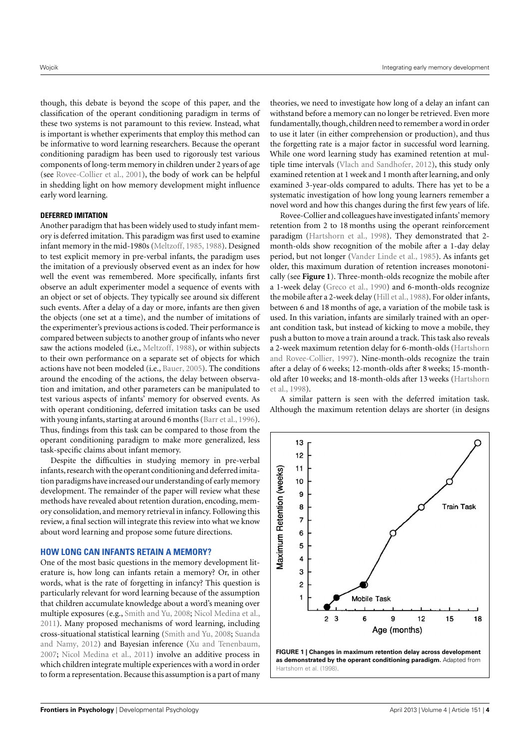though, this debate is beyond the scope of this paper, and the classification of the operant conditioning paradigm in terms of these two systems is not paramount to this review. Instead, what is important is whether experiments that employ this method can be informative to word learning researchers. Because the operant conditioning paradigm has been used to rigorously test various components of long-term memory in children under 2 years of age (see [Rovee-Collier et al.,](#page-12-16) [2001\)](#page-12-16), the body of work can be helpful in shedding light on how memory development might influence early word learning.

#### **DEFERRED IMITATION**

Another paradigm that has been widely used to study infant memory is deferred imitation. This paradigm was first used to examine infant memory in the mid-1980s [\(Meltzoff,](#page-11-25) [1985,](#page-11-25) [1988\)](#page-11-26). Designed to test explicit memory in pre-verbal infants, the paradigm uses the imitation of a previously observed event as an index for how well the event was remembered. More specifically, infants first observe an adult experimenter model a sequence of events with an object or set of objects. They typically see around six different such events. After a delay of a day or more, infants are then given the objects (one set at a time), and the number of imitations of the experimenter's previous actions is coded. Their performance is compared between subjects to another group of infants who never saw the actions modeled (i.e., [Meltzoff,](#page-11-26) [1988\)](#page-11-26), or within subjects to their own performance on a separate set of objects for which actions have not been modeled (i.e., [Bauer,](#page-10-2) [2005\)](#page-10-2). The conditions around the encoding of the actions, the delay between observation and imitation, and other parameters can be manipulated to test various aspects of infants' memory for observed events. As with operant conditioning, deferred imitation tasks can be used with young infants, starting at around 6 months [\(Barr et al.,](#page-10-3) [1996\)](#page-10-3). Thus, findings from this task can be compared to those from the operant conditioning paradigm to make more generalized, less task-specific claims about infant memory.

Despite the difficulties in studying memory in pre-verbal infants, research with the operant conditioning and deferred imitation paradigms have increased our understanding of early memory development. The remainder of the paper will review what these methods have revealed about retention duration, encoding, memory consolidation, and memory retrieval in infancy. Following this review, a final section will integrate this review into what we know about word learning and propose some future directions.

#### **HOW LONG CAN INFANTS RETAIN A MEMORY?**

One of the most basic questions in the memory development literature is, how long can infants retain a memory? Or, in other words, what is the rate of forgetting in infancy? This question is particularly relevant for word learning because of the assumption that children accumulate knowledge about a word's meaning over multiple exposures (e.g., [Smith and Yu,](#page-12-3) [2008;](#page-12-3) [Nicol Medina et al.,](#page-11-27) [2011\)](#page-11-27). Many proposed mechanisms of word learning, including cross-situational statistical learning [\(Smith and Yu,](#page-12-3) [2008;](#page-12-3) [Suanda](#page-12-17) [and Namy,](#page-12-17) [2012\)](#page-12-17) and Bayesian inference [\(Xu and Tenenbaum,](#page-12-18) [2007;](#page-12-18) [Nicol Medina et al.,](#page-11-27) [2011\)](#page-11-27) involve an additive process in which children integrate multiple experiences with a word in order to form a representation. Because this assumption is a part of many theories, we need to investigate how long of a delay an infant can withstand before a memory can no longer be retrieved. Even more fundamentally, though, children need to remember a word in order to use it later (in either comprehension or production), and thus the forgetting rate is a major factor in successful word learning. While one word learning study has examined retention at multiple time intervals [\(Vlach and Sandhofer,](#page-12-14) [2012\)](#page-12-14), this study only examined retention at 1 week and 1 month after learning, and only examined 3-year-olds compared to adults. There has yet to be a systematic investigation of how long young learners remember a novel word and how this changes during the first few years of life.

Rovee-Collier and colleagues have investigated infants'memory retention from 2 to 18 months using the operant reinforcement paradigm [\(Hartshorn et al.,](#page-11-28) [1998\)](#page-11-28). They demonstrated that 2 month-olds show recognition of the mobile after a 1-day delay period, but not longer [\(Vander Linde et al.,](#page-12-19) [1985\)](#page-12-19). As infants get older, this maximum duration of retention increases monotonically (see **[Figure 1](#page-4-0)**). Three-month-olds recognize the mobile after a 1-week delay [\(Greco et al.,](#page-11-29) [1990\)](#page-11-29) and 6-month-olds recognize the mobile after a 2-week delay [\(Hill et al.,](#page-11-30) [1988\)](#page-11-30). For older infants, between 6 and 18 months of age, a variation of the mobile task is used. In this variation, infants are similarly trained with an operant condition task, but instead of kicking to move a mobile, they push a button to move a train around a track. This task also reveals a 2-week maximum retention delay for 6-month-olds [\(Hartshorn](#page-11-31) [and Rovee-Collier,](#page-11-31) [1997\)](#page-11-31). Nine-month-olds recognize the train after a delay of 6 weeks; 12-month-olds after 8 weeks; 15-monthold after 10 weeks; and 18-month-olds after 13 weeks [\(Hartshorn](#page-11-28) [et al.,](#page-11-28) [1998\)](#page-11-28).

A similar pattern is seen with the deferred imitation task. Although the maximum retention delays are shorter (in designs

<span id="page-4-0"></span>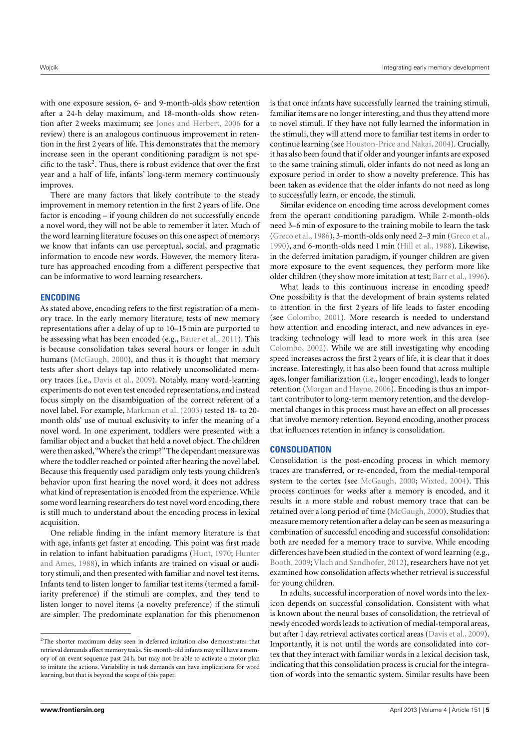with one exposure session, 6- and 9-month-olds show retention after a 24-h delay maximum, and 18-month-olds show retention after 2 weeks maximum; see [Jones and Herbert,](#page-11-32) [2006](#page-11-32) for a review) there is an analogous continuous improvement in retention in the first 2 years of life. This demonstrates that the memory increase seen in the operant conditioning paradigm is not spe-cific to the task<sup>[2](#page-5-0)</sup>. Thus, there is robust evidence that over the first year and a half of life, infants' long-term memory continuously improves.

There are many factors that likely contribute to the steady improvement in memory retention in the first 2 years of life. One factor is encoding – if young children do not successfully encode a novel word, they will not be able to remember it later. Much of the word learning literature focuses on this one aspect of memory; we know that infants can use perceptual, social, and pragmatic information to encode new words. However, the memory literature has approached encoding from a different perspective that can be informative to word learning researchers.

#### **ENCODING**

As stated above, encoding refers to the first registration of a memory trace. In the early memory literature, tests of new memory representations after a delay of up to 10–15 min are purported to be assessing what has been encoded (e.g., [Bauer et al.,](#page-10-4) [2011\)](#page-10-4). This is because consolidation takes several hours or longer in adult humans [\(McGaugh,](#page-11-33) [2000\)](#page-11-33), and thus it is thought that memory tests after short delays tap into relatively unconsolidated memory traces (i.e., [Davis et al.,](#page-11-34) [2009\)](#page-11-34). Notably, many word-learning experiments do not even test encoded representations, and instead focus simply on the disambiguation of the correct referent of a novel label. For example, [Markman et al.](#page-11-35) [\(2003\)](#page-11-35) tested 18- to 20 month olds' use of mutual exclusivity to infer the meaning of a novel word. In one experiment, toddlers were presented with a familiar object and a bucket that held a novel object. The children were then asked,"Where's the crimp?"The dependant measure was where the toddler reached or pointed after hearing the novel label. Because this frequently used paradigm only tests young children's behavior upon first hearing the novel word, it does not address what kind of representation is encoded from the experience.While some word learning researchers do test novel word encoding, there is still much to understand about the encoding process in lexical acquisition.

One reliable finding in the infant memory literature is that with age, infants get faster at encoding. This point was first made in relation to infant habituation paradigms [\(Hunt,](#page-11-36) [1970;](#page-11-36) [Hunter](#page-11-37) [and Ames,](#page-11-37) [1988\)](#page-11-37), in which infants are trained on visual or auditory stimuli, and then presented with familiar and novel test items. Infants tend to listen longer to familiar test items (termed a familiarity preference) if the stimuli are complex, and they tend to listen longer to novel items (a novelty preference) if the stimuli are simpler. The predominate explanation for this phenomenon is that once infants have successfully learned the training stimuli, familiar items are no longer interesting, and thus they attend more to novel stimuli. If they have not fully learned the information in the stimuli, they will attend more to familiar test items in order to continue learning (see [Houston-Price and Nakai,](#page-11-38) [2004\)](#page-11-38). Crucially, it has also been found that if older and younger infants are exposed to the same training stimuli, older infants do not need as long an exposure period in order to show a novelty preference. This has been taken as evidence that the older infants do not need as long to successfully learn, or encode, the stimuli.

Similar evidence on encoding time across development comes from the operant conditioning paradigm. While 2-month-olds need 3–6 min of exposure to the training mobile to learn the task [\(Greco et al.,](#page-11-23) [1986\)](#page-11-23), 3-month-olds only need 2–3 min [\(Greco et al.,](#page-11-29) [1990\)](#page-11-29), and 6-month-olds need 1 min [\(Hill et al.,](#page-11-30) [1988\)](#page-11-30). Likewise, in the deferred imitation paradigm, if younger children are given more exposure to the event sequences, they perform more like older children (they show more imitation at test; [Barr et al.,](#page-10-3) [1996\)](#page-10-3).

What leads to this continuous increase in encoding speed? One possibility is that the development of brain systems related to attention in the first 2 years of life leads to faster encoding (see [Colombo,](#page-11-39) [2001\)](#page-11-39). More research is needed to understand how attention and encoding interact, and new advances in eyetracking technology will lead to more work in this area (see [Colombo,](#page-11-40) [2002\)](#page-11-40). While we are still investigating why encoding speed increases across the first 2 years of life, it is clear that it does increase. Interestingly, it has also been found that across multiple ages, longer familiarization (i.e., longer encoding), leads to longer retention [\(Morgan and Hayne,](#page-11-41) [2006\)](#page-11-41). Encoding is thus an important contributor to long-term memory retention, and the developmental changes in this process must have an effect on all processes that involve memory retention. Beyond encoding, another process that influences retention in infancy is consolidation.

#### **CONSOLIDATION**

Consolidation is the post-encoding process in which memory traces are transferred, or re-encoded, from the medial-temporal system to the cortex (see [McGaugh,](#page-11-33) [2000;](#page-11-33) [Wixted,](#page-12-5) [2004\)](#page-12-5). This process continues for weeks after a memory is encoded, and it results in a more stable and robust memory trace that can be retained over a long period of time [\(McGaugh,](#page-11-33) [2000\)](#page-11-33). Studies that measure memory retention after a delay can be seen as measuring a combination of successful encoding and successful consolidation: both are needed for a memory trace to survive. While encoding differences have been studied in the context of word learning (e.g., [Booth,](#page-11-22) [2009;](#page-11-22) [Vlach and Sandhofer,](#page-12-14) [2012\)](#page-12-14), researchers have not yet examined how consolidation affects whether retrieval is successful for young children.

In adults, successful incorporation of novel words into the lexicon depends on successful consolidation. Consistent with what is known about the neural bases of consolidation, the retrieval of newly encoded words leads to activation of medial-temporal areas, but after 1 day, retrieval activates cortical areas [\(Davis et al.,](#page-11-34) [2009\)](#page-11-34). Importantly, it is not until the words are consolidated into cortex that they interact with familiar words in a lexical decision task, indicating that this consolidation process is crucial for the integration of words into the semantic system. Similar results have been

<span id="page-5-0"></span><sup>&</sup>lt;sup>2</sup>The shorter maximum delay seen in deferred imitation also demonstrates that retrieval demands affect memory tasks. Six-month-old infants may still have a memory of an event sequence past 24 h, but may not be able to activate a motor plan to imitate the actions. Variability in task demands can have implications for word learning, but that is beyond the scope of this paper.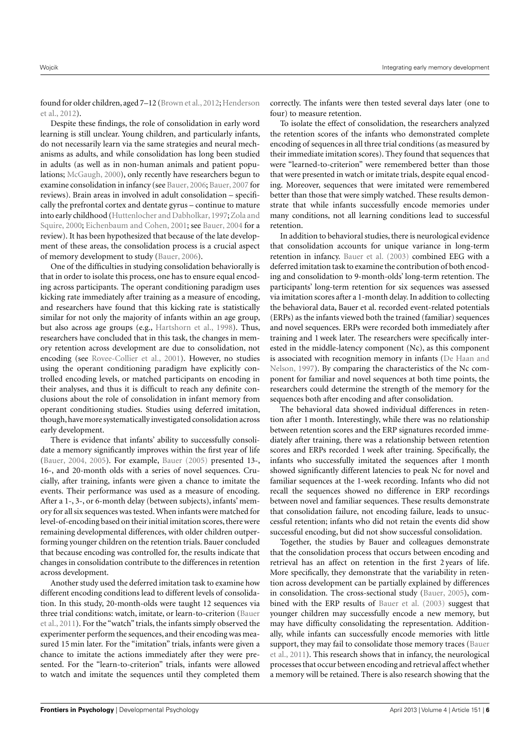found for older children, aged 7-12 [\(Brown et al.,](#page-11-42) [2012;](#page-11-42) [Henderson](#page-11-43) [et al.,](#page-11-43) [2012\)](#page-11-43).

Despite these findings, the role of consolidation in early word learning is still unclear. Young children, and particularly infants, do not necessarily learn via the same strategies and neural mechanisms as adults, and while consolidation has long been studied in adults (as well as in non-human animals and patient populations; [McGaugh,](#page-11-33) [2000\)](#page-11-33), only recently have researchers begun to examine consolidation in infancy (see [Bauer,](#page-10-5) [2006;](#page-10-5) [Bauer,](#page-10-6) [2007](#page-10-6) for reviews). Brain areas in involved in adult consolidation – specifically the prefrontal cortex and dentate gyrus – continue to mature into early childhood [\(Huttenlocher and Dabholkar,](#page-11-44) [1997;](#page-11-44) [Zola and](#page-12-4) [Squire,](#page-12-4) [2000;](#page-12-4) [Eichenbaum and Cohen,](#page-11-1) [2001;](#page-11-1) see [Bauer,](#page-10-7) [2004](#page-10-7) for a review). It has been hypothesized that because of the late development of these areas, the consolidation process is a crucial aspect of memory development to study [\(Bauer,](#page-10-5) [2006\)](#page-10-5).

One of the difficulties in studying consolidation behaviorally is that in order to isolate this process, one has to ensure equal encoding across participants. The operant conditioning paradigm uses kicking rate immediately after training as a measure of encoding, and researchers have found that this kicking rate is statistically similar for not only the majority of infants within an age group, but also across age groups (e.g., [Hartshorn et al.,](#page-11-28) [1998\)](#page-11-28). Thus, researchers have concluded that in this task, the changes in memory retention across development are due to consolidation, not encoding (see [Rovee-Collier et al.,](#page-12-16) [2001\)](#page-12-16). However, no studies using the operant conditioning paradigm have explicitly controlled encoding levels, or matched participants on encoding in their analyses, and thus it is difficult to reach any definite conclusions about the role of consolidation in infant memory from operant conditioning studies. Studies using deferred imitation, though, have more systematically investigated consolidation across early development.

There is evidence that infants' ability to successfully consolidate a memory significantly improves within the first year of life [\(Bauer,](#page-10-7) [2004,](#page-10-7) [2005\)](#page-10-2). For example, [Bauer](#page-10-2) [\(2005\)](#page-10-2) presented 13-, 16-, and 20-month olds with a series of novel sequences. Crucially, after training, infants were given a chance to imitate the events. Their performance was used as a measure of encoding. After a 1-, 3-, or 6-month delay (between subjects), infants' memory for all six sequences was tested.When infants were matched for level-of-encoding based on their initial imitation scores, there were remaining developmental differences, with older children outperforming younger children on the retention trials. Bauer concluded that because encoding was controlled for, the results indicate that changes in consolidation contribute to the differences in retention across development.

Another study used the deferred imitation task to examine how different encoding conditions lead to different levels of consolidation. In this study, 20-month-olds were taught 12 sequences via three trial conditions: watch, imitate, or learn-to-criterion [\(Bauer](#page-10-4) [et al.,](#page-10-4) [2011\)](#page-10-4). For the "watch" trials, the infants simply observed the experimenter perform the sequences, and their encoding was measured 15 min later. For the "imitation" trials, infants were given a chance to imitate the actions immediately after they were presented. For the "learn-to-criterion" trials, infants were allowed to watch and imitate the sequences until they completed them

correctly. The infants were then tested several days later (one to four) to measure retention.

To isolate the effect of consolidation, the researchers analyzed the retention scores of the infants who demonstrated complete encoding of sequences in all three trial conditions (as measured by their immediate imitation scores). They found that sequences that were "learned-to-criterion" were remembered better than those that were presented in watch or imitate trials, despite equal encoding. Moreover, sequences that were imitated were remembered better than those that were simply watched. These results demonstrate that while infants successfully encode memories under many conditions, not all learning conditions lead to successful retention.

In addition to behavioral studies, there is neurological evidence that consolidation accounts for unique variance in long-term retention in infancy. [Bauer et al.](#page-10-8) [\(2003\)](#page-10-8) combined EEG with a deferred imitation task to examine the contribution of both encoding and consolidation to 9-month-olds' long-term retention. The participants' long-term retention for six sequences was assessed via imitation scores after a 1-month delay. In addition to collecting the behavioral data, Bauer et al. recorded event-related potentials (ERPs) as the infants viewed both the trained (familiar) sequences and novel sequences. ERPs were recorded both immediately after training and 1 week later. The researchers were specifically interested in the middle-latency component (Nc), as this component is associated with recognition memory in infants [\(De Haan and](#page-11-45) [Nelson,](#page-11-45) [1997\)](#page-11-45). By comparing the characteristics of the Nc component for familiar and novel sequences at both time points, the researchers could determine the strength of the memory for the sequences both after encoding and after consolidation.

The behavioral data showed individual differences in retention after 1 month. Interestingly, while there was no relationship between retention scores and the ERP signatures recorded immediately after training, there was a relationship between retention scores and ERPs recorded 1 week after training. Specifically, the infants who successfully imitated the sequences after 1 month showed significantly different latencies to peak Nc for novel and familiar sequences at the 1-week recording. Infants who did not recall the sequences showed no difference in ERP recordings between novel and familiar sequences. These results demonstrate that consolidation failure, not encoding failure, leads to unsuccessful retention; infants who did not retain the events did show successful encoding, but did not show successful consolidation.

Together, the studies by Bauer and colleagues demonstrate that the consolidation process that occurs between encoding and retrieval has an affect on retention in the first 2 years of life. More specifically, they demonstrate that the variability in retention across development can be partially explained by differences in consolidation. The cross-sectional study [\(Bauer,](#page-10-2) [2005\)](#page-10-2), combined with the ERP results of [Bauer et al.](#page-10-8) [\(2003\)](#page-10-8) suggest that younger children may successfully encode a new memory, but may have difficulty consolidating the representation. Additionally, while infants can successfully encode memories with little support, they may fail to consolidate those memory traces [\(Bauer](#page-10-4) [et al.,](#page-10-4) [2011\)](#page-10-4). This research shows that in infancy, the neurological processes that occur between encoding and retrieval affect whether a memory will be retained. There is also research showing that the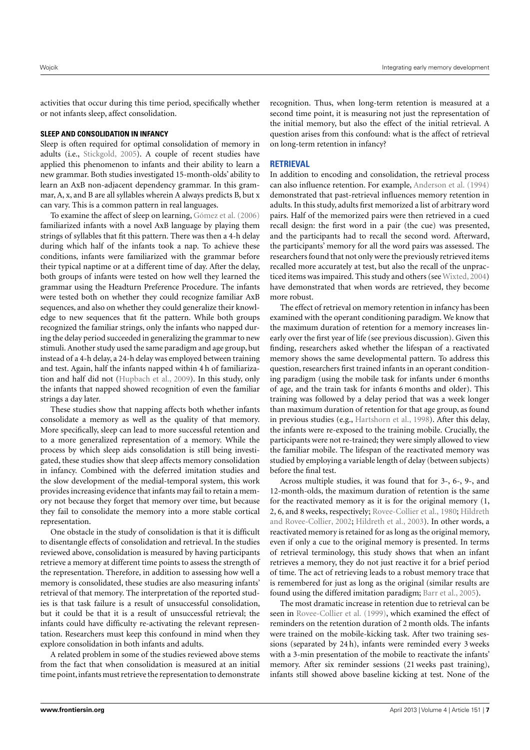activities that occur during this time period, specifically whether or not infants sleep, affect consolidation.

#### **SLEEP AND CONSOLIDATION IN INFANCY**

Sleep is often required for optimal consolidation of memory in adults (i.e., [Stickgold,](#page-12-20) [2005\)](#page-12-20). A couple of recent studies have applied this phenomenon to infants and their ability to learn a new grammar. Both studies investigated 15-month-olds' ability to learn an AxB non-adjacent dependency grammar. In this grammar, A, x, and B are all syllables wherein A always predicts B, but x can vary. This is a common pattern in real languages.

To examine the affect of sleep on learning, [Gómez et al.](#page-11-46) [\(2006\)](#page-11-46) familiarized infants with a novel AxB language by playing them strings of syllables that fit this pattern. There was then a 4-h delay during which half of the infants took a nap. To achieve these conditions, infants were familiarized with the grammar before their typical naptime or at a different time of day. After the delay, both groups of infants were tested on how well they learned the grammar using the Headturn Preference Procedure. The infants were tested both on whether they could recognize familiar AxB sequences, and also on whether they could generalize their knowledge to new sequences that fit the pattern. While both groups recognized the familiar strings, only the infants who napped during the delay period succeeded in generalizing the grammar to new stimuli. Another study used the same paradigm and age group, but instead of a 4-h delay, a 24-h delay was employed between training and test. Again, half the infants napped within 4 h of familiarization and half did not [\(Hupbach et al.,](#page-11-47) [2009\)](#page-11-47). In this study, only the infants that napped showed recognition of even the familiar strings a day later.

These studies show that napping affects both whether infants consolidate a memory as well as the quality of that memory. More specifically, sleep can lead to more successful retention and to a more generalized representation of a memory. While the process by which sleep aids consolidation is still being investigated, these studies show that sleep affects memory consolidation in infancy. Combined with the deferred imitation studies and the slow development of the medial-temporal system, this work provides increasing evidence that infants may fail to retain a memory not because they forget that memory over time, but because they fail to consolidate the memory into a more stable cortical representation.

One obstacle in the study of consolidation is that it is difficult to disentangle effects of consolidation and retrieval. In the studies reviewed above, consolidation is measured by having participants retrieve a memory at different time points to assess the strength of the representation. Therefore, in addition to assessing how well a memory is consolidated, these studies are also measuring infants' retrieval of that memory. The interpretation of the reported studies is that task failure is a result of unsuccessful consolidation, but it could be that it is a result of unsuccessful retrieval; the infants could have difficulty re-activating the relevant representation. Researchers must keep this confound in mind when they explore consolidation in both infants and adults.

A related problem in some of the studies reviewed above stems from the fact that when consolidation is measured at an initial time point, infants must retrieve the representation to demonstrate

recognition. Thus, when long-term retention is measured at a second time point, it is measuring not just the representation of the initial memory, but also the effect of the initial retrieval. A question arises from this confound: what is the affect of retrieval on long-term retention in infancy?

#### **RETRIEVAL**

In addition to encoding and consolidation, the retrieval process can also influence retention. For example, [Anderson et al.](#page-10-9) [\(1994\)](#page-10-9) demonstrated that past-retrieval influences memory retention in adults. In this study, adults first memorized a list of arbitrary word pairs. Half of the memorized pairs were then retrieved in a cued recall design: the first word in a pair (the cue) was presented, and the participants had to recall the second word. Afterward, the participants' memory for all the word pairs was assessed. The researchers found that not only were the previously retrieved items recalled more accurately at test, but also the recall of the unprac-ticed items was impaired. This study and others (see [Wixted,](#page-12-5) [2004\)](#page-12-5) have demonstrated that when words are retrieved, they become more robust.

The effect of retrieval on memory retention in infancy has been examined with the operant conditioning paradigm. We know that the maximum duration of retention for a memory increases linearly over the first year of life (see previous discussion). Given this finding, researchers asked whether the lifespan of a reactivated memory shows the same developmental pattern. To address this question, researchers first trained infants in an operant conditioning paradigm (using the mobile task for infants under 6 months of age, and the train task for infants 6 months and older). This training was followed by a delay period that was a week longer than maximum duration of retention for that age group, as found in previous studies (e.g., [Hartshorn et al.,](#page-11-28) [1998\)](#page-11-28). After this delay, the infants were re-exposed to the training mobile. Crucially, the participants were not re-trained; they were simply allowed to view the familiar mobile. The lifespan of the reactivated memory was studied by employing a variable length of delay (between subjects) before the final test.

Across multiple studies, it was found that for 3-, 6-, 9-, and 12-month-olds, the maximum duration of retention is the same for the reactivated memory as it is for the original memory (1, 2, 6, and 8 weeks, respectively; [Rovee-Collier et al.,](#page-12-21) [1980;](#page-12-21) [Hildreth](#page-11-48) [and Rovee-Collier,](#page-11-48) [2002;](#page-11-48) [Hildreth et al.,](#page-11-49) [2003\)](#page-11-49). In other words, a reactivated memory is retained for as long as the original memory, even if only a cue to the original memory is presented. In terms of retrieval terminology, this study shows that when an infant retrieves a memory, they do not just reactive it for a brief period of time. The act of retrieving leads to a robust memory trace that is remembered for just as long as the original (similar results are found using the differed imitation paradigm; [Barr et al.,](#page-10-10) [2005\)](#page-10-10).

The most dramatic increase in retention due to retrieval can be seen in [Rovee-Collier et al.](#page-12-22) [\(1999\)](#page-12-22), which examined the effect of reminders on the retention duration of 2 month olds. The infants were trained on the mobile-kicking task. After two training sessions (separated by 24 h), infants were reminded every 3 weeks with a 3-min presentation of the mobile to reactivate the infants' memory. After six reminder sessions (21 weeks past training), infants still showed above baseline kicking at test. None of the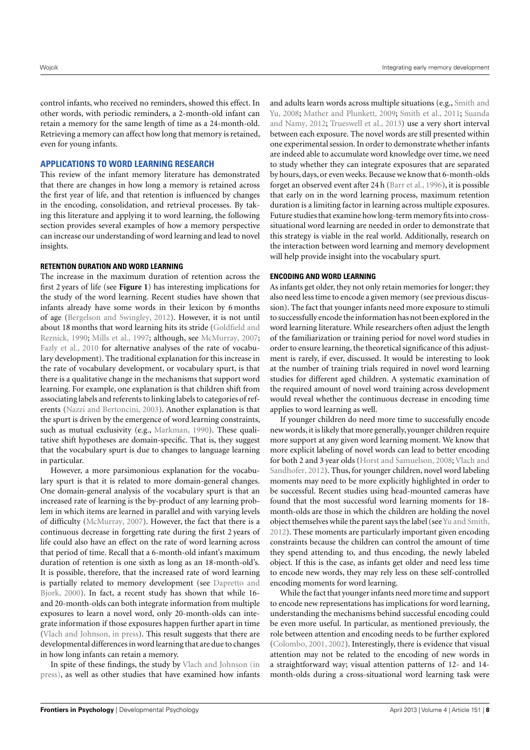control infants, who received no reminders, showed this effect. In other words, with periodic reminders, a 2-month-old infant can retain a memory for the same length of time as a 24-month-old. Retrieving a memory can affect how long that memory is retained, even for young infants.

#### **APPLICATIONS TO WORD LEARNING RESEARCH**

This review of the infant memory literature has demonstrated that there are changes in how long a memory is retained across the first year of life, and that retention is influenced by changes in the encoding, consolidation, and retrieval processes. By taking this literature and applying it to word learning, the following section provides several examples of how a memory perspective can increase our understanding of word learning and lead to novel insights.

#### **RETENTION DURATION AND WORD LEARNING**

The increase in the maximum duration of retention across the first 2 years of life (see **[Figure 1](#page-4-0)**) has interesting implications for the study of the word learning. Recent studies have shown that infants already have some words in their lexicon by 6 months of age [\(Bergelson and Swingley,](#page-10-11) [2012\)](#page-10-11). However, it is not until about 18 months that word learning hits its stride [\(Goldfield and](#page-11-50) [Reznick,](#page-11-50) [1990;](#page-11-50) [Mills et al.,](#page-11-51) [1997;](#page-11-51) although, see [McMurray,](#page-11-52) [2007;](#page-11-52) [Fazly et al.,](#page-11-53) [2010](#page-11-53) for alternative analyses of the rate of vocabulary development). The traditional explanation for this increase in the rate of vocabulary development, or vocabulary spurt, is that there is a qualitative change in the mechanisms that support word learning. For example, one explanation is that children shift from associating labels and referents to linking labels to categories of referents [\(Nazzi and Bertoncini,](#page-11-54) [2003\)](#page-11-54). Another explanation is that the spurt is driven by the emergence of word learning constraints, such as mutual exclusivity (e.g., [Markman,](#page-11-13) [1990\)](#page-11-13). These qualitative shift hypotheses are domain-specific. That is, they suggest that the vocabulary spurt is due to changes to language learning in particular.

However, a more parsimonious explanation for the vocabulary spurt is that it is related to more domain-general changes. One domain-general analysis of the vocabulary spurt is that an increased rate of learning is the by-product of any learning problem in which items are learned in parallel and with varying levels of difficulty [\(McMurray,](#page-11-52) [2007\)](#page-11-52). However, the fact that there is a continuous decrease in forgetting rate during the first 2 years of life could also have an effect on the rate of word learning across that period of time. Recall that a 6-month-old infant's maximum duration of retention is one sixth as long as an 18-month-old's. It is possible, therefore, that the increased rate of word learning is partially related to memory development (see [Dapretto and](#page-11-55) [Bjork,](#page-11-55) [2000\)](#page-11-55). In fact, a recent study has shown that while 16 and 20-month-olds can both integrate information from multiple exposures to learn a novel word, only 20-month-olds can integrate information if those exposures happen further apart in time [\(Vlach and Johnson,](#page-12-23) [in press\)](#page-12-23). This result suggests that there are developmental differences in word learning that are due to changes in how long infants can retain a memory.

In spite of these findings, the study by [Vlach and Johnson](#page-12-23) [\(in](#page-12-23) [press\)](#page-12-23), as well as other studies that have examined how infants and adults learn words across multiple situations (e.g., [Smith and](#page-12-3) [Yu,](#page-12-3) [2008;](#page-12-3) [Mather and Plunkett,](#page-11-56) [2009;](#page-11-56) [Smith et al.,](#page-12-24) [2011;](#page-12-24) [Suanda](#page-12-17) [and Namy,](#page-12-17) [2012;](#page-12-17) [Trueswell et al.,](#page-12-25) [2013\)](#page-12-25) use a very short interval between each exposure. The novel words are still presented within one experimental session. In order to demonstrate whether infants are indeed able to accumulate word knowledge over time, we need to study whether they can integrate exposures that are separated by hours, days, or even weeks. Because we know that 6-month-olds forget an observed event after 24 h [\(Barr et al.,](#page-10-3) [1996\)](#page-10-3), it is possible that early on in the word learning process, maximum retention duration is a limiting factor in learning across multiple exposures. Future studies that examine how long-term memory fits into crosssituational word learning are needed in order to demonstrate that this strategy is viable in the real world. Additionally, research on the interaction between word learning and memory development will help provide insight into the vocabulary spurt.

#### **ENCODING AND WORD LEARNING**

As infants get older, they not only retain memories for longer; they also need less time to encode a given memory (see previous discussion). The fact that younger infants need more exposure to stimuli to successfully encode the information has not been explored in the word learning literature. While researchers often adjust the length of the familiarization or training period for novel word studies in order to ensure learning, the theoretical significance of this adjustment is rarely, if ever, discussed. It would be interesting to look at the number of training trials required in novel word learning studies for different aged children. A systematic examination of the required amount of novel word training across development would reveal whether the continuous decrease in encoding time applies to word learning as well.

If younger children do need more time to successfully encode new words,it is likely that more generally, younger children require more support at any given word learning moment. We know that more explicit labeling of novel words can lead to better encoding for both 2 and 3 year olds [\(Horst and Samuelson,](#page-11-14) [2008;](#page-11-14) [Vlach and](#page-12-14) [Sandhofer,](#page-12-14) [2012\)](#page-12-14). Thus, for younger children, novel word labeling moments may need to be more explicitly highlighted in order to be successful. Recent studies using head-mounted cameras have found that the most successful word learning moments for 18 month-olds are those in which the children are holding the novel object themselves while the parent says the label (see [Yu and Smith,](#page-12-26) [2012\)](#page-12-26). These moments are particularly important given encoding constraints because the children can control the amount of time they spend attending to, and thus encoding, the newly labeled object. If this is the case, as infants get older and need less time to encode new words, they may rely less on these self-controlled encoding moments for word learning.

While the fact that younger infants need more time and support to encode new representations has implications for word learning, understanding the mechanisms behind successful encoding could be even more useful. In particular, as mentioned previously, the role between attention and encoding needs to be further explored [\(Colombo,](#page-11-39) [2001,](#page-11-39) [2002\)](#page-11-40). Interestingly, there is evidence that visual attention may not be related to the encoding of new words in a straightforward way; visual attention patterns of 12- and 14 month-olds during a cross-situational word learning task were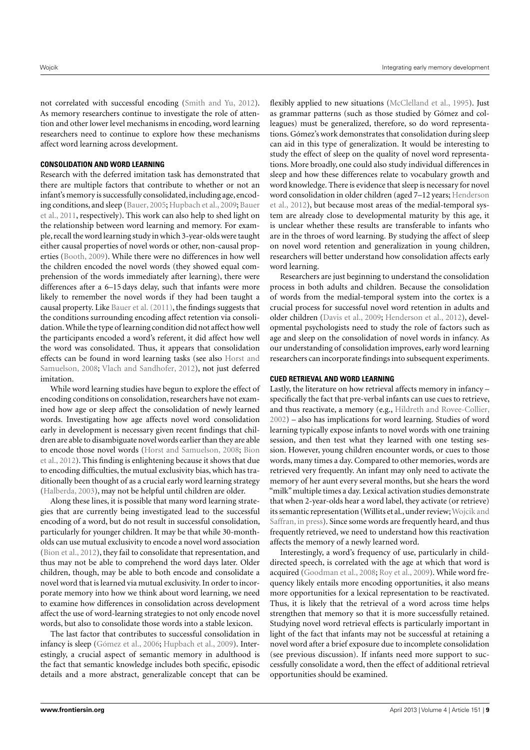not correlated with successful encoding [\(Smith and Yu,](#page-12-27) [2012\)](#page-12-27). As memory researchers continue to investigate the role of attention and other lower level mechanisms in encoding, word learning researchers need to continue to explore how these mechanisms affect word learning across development.

#### **CONSOLIDATION AND WORD LEARNING**

Research with the deferred imitation task has demonstrated that there are multiple factors that contribute to whether or not an infant's memory is successfully consolidated, including age, encoding conditions, and sleep [\(Bauer,](#page-10-2) [2005;](#page-10-2) [Hupbach et al.,](#page-11-47) [2009;](#page-11-47) [Bauer](#page-10-4) [et al.,](#page-10-4) [2011,](#page-10-4) respectively). This work can also help to shed light on the relationship between word learning and memory. For example, recall the word learning study in which 3-year-olds were taught either causal properties of novel words or other, non-causal properties [\(Booth,](#page-11-22) [2009\)](#page-11-22). While there were no differences in how well the children encoded the novel words (they showed equal comprehension of the words immediately after learning), there were differences after a 6–15 days delay, such that infants were more likely to remember the novel words if they had been taught a causal property. Like [Bauer et al.](#page-10-4) [\(2011\)](#page-10-4), the findings suggests that the conditions surrounding encoding affect retention via consolidation.While the type of learning condition did not affect how well the participants encoded a word's referent, it did affect how well the word was consolidated. Thus, it appears that consolidation effects can be found in word learning tasks (see also [Horst and](#page-11-14) [Samuelson,](#page-11-14) [2008;](#page-11-14) [Vlach and Sandhofer,](#page-12-14) [2012\)](#page-12-14), not just deferred imitation.

While word learning studies have begun to explore the effect of encoding conditions on consolidation, researchers have not examined how age or sleep affect the consolidation of newly learned words. Investigating how age affects novel word consolidation early in development is necessary given recent findings that children are able to disambiguate novel words earlier than they are able to encode those novel words [\(Horst and Samuelson,](#page-11-14) [2008;](#page-11-14) [Bion](#page-11-5) [et al.,](#page-11-5) [2012\)](#page-11-5). This finding is enlightening because it shows that due to encoding difficulties, the mutual exclusivity bias, which has traditionally been thought of as a crucial early word learning strategy [\(Halberda,](#page-11-8) [2003\)](#page-11-8), may not be helpful until children are older.

Along these lines, it is possible that many word learning strategies that are currently being investigated lead to the successful encoding of a word, but do not result in successful consolidation, particularly for younger children. It may be that while 30-montholds can use mutual exclusivity to encode a novel word association [\(Bion et al.,](#page-11-5) [2012\)](#page-11-5), they fail to consolidate that representation, and thus may not be able to comprehend the word days later. Older children, though, may be able to both encode and consolidate a novel word that is learned via mutual exclusivity. In order to incorporate memory into how we think about word learning, we need to examine how differences in consolidation across development affect the use of word-learning strategies to not only encode novel words, but also to consolidate those words into a stable lexicon.

The last factor that contributes to successful consolidation in infancy is sleep [\(Gómez et al.,](#page-11-46) [2006;](#page-11-46) [Hupbach et al.,](#page-11-47) [2009\)](#page-11-47). Interestingly, a crucial aspect of semantic memory in adulthood is the fact that semantic knowledge includes both specific, episodic details and a more abstract, generalizable concept that can be

flexibly applied to new situations [\(McClelland et al.,](#page-11-57) [1995\)](#page-11-57). Just as grammar patterns (such as those studied by Gómez and colleagues) must be generalized, therefore, so do word representations. Gómez's work demonstrates that consolidation during sleep can aid in this type of generalization. It would be interesting to study the effect of sleep on the quality of novel word representations. More broadly, one could also study individual differences in sleep and how these differences relate to vocabulary growth and word knowledge. There is evidence that sleep is necessary for novel word consolidation in older children (aged 7–12 years; [Henderson](#page-11-43) [et al.,](#page-11-43) [2012\)](#page-11-43), but because most areas of the medial-temporal system are already close to developmental maturity by this age, it is unclear whether these results are transferable to infants who are in the throes of word learning. By studying the affect of sleep on novel word retention and generalization in young children, researchers will better understand how consolidation affects early word learning.

Researchers are just beginning to understand the consolidation process in both adults and children. Because the consolidation of words from the medial-temporal system into the cortex is a crucial process for successful novel word retention in adults and older children [\(Davis et al.,](#page-11-34) [2009;](#page-11-34) [Henderson et al.,](#page-11-43) [2012\)](#page-11-43), developmental psychologists need to study the role of factors such as age and sleep on the consolidation of novel words in infancy. As our understanding of consolidation improves, early word learning researchers can incorporate findings into subsequent experiments.

#### **CUED RETRIEVAL AND WORD LEARNING**

Lastly, the literature on how retrieval affects memory in infancy – specifically the fact that pre-verbal infants can use cues to retrieve, and thus reactivate, a memory (e.g., [Hildreth and Rovee-Collier,](#page-11-48) [2002\)](#page-11-48) – also has implications for word learning. Studies of word learning typically expose infants to novel words with one training session, and then test what they learned with one testing session. However, young children encounter words, or cues to those words, many times a day. Compared to other memories, words are retrieved very frequently. An infant may only need to activate the memory of her aunt every several months, but she hears the word "milk" multiple times a day. Lexical activation studies demonstrate that when 2-year-olds hear a word label, they activate (or retrieve) its semantic representation (Willits et al., under review; [Wojcik and](#page-12-28) [Saffran,](#page-12-28) [in press\)](#page-12-28). Since some words are frequently heard, and thus frequently retrieved, we need to understand how this reactivation affects the memory of a newly learned word.

Interestingly, a word's frequency of use, particularly in childdirected speech, is correlated with the age at which that word is acquired [\(Goodman et al.,](#page-11-58) [2008;](#page-11-58) [Roy et al.,](#page-12-29) [2009\)](#page-12-29). While word frequency likely entails more encoding opportunities, it also means more opportunities for a lexical representation to be reactivated. Thus, it is likely that the retrieval of a word across time helps strengthen that memory so that it is more successfully retained. Studying novel word retrieval effects is particularly important in light of the fact that infants may not be successful at retaining a novel word after a brief exposure due to incomplete consolidation (see previous discussion). If infants need more support to successfully consolidate a word, then the effect of additional retrieval opportunities should be examined.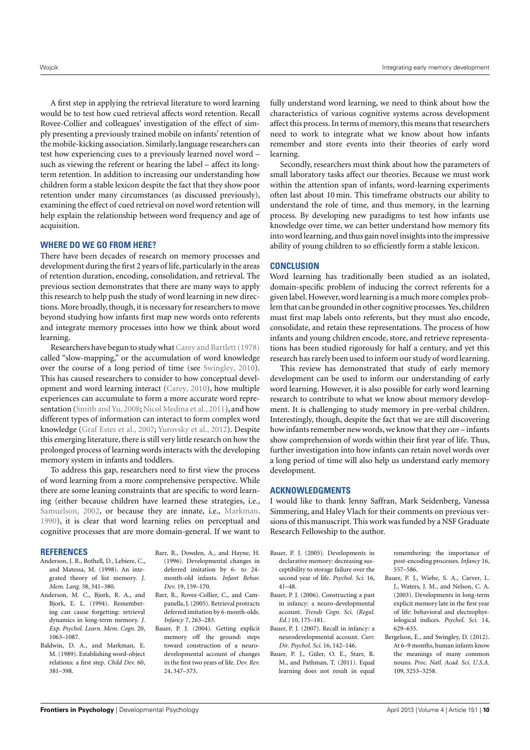A first step in applying the retrieval literature to word learning would be to test how cued retrieval affects word retention. Recall Rovee-Collier and colleagues' investigation of the effect of simply presenting a previously trained mobile on infants' retention of the mobile-kicking association. Similarly, language researchers can test how experiencing cues to a previously learned novel word – such as viewing the referent or hearing the label – affect its longterm retention. In addition to increasing our understanding how children form a stable lexicon despite the fact that they show poor retention under many circumstances (as discussed previously), examining the effect of cued retrieval on novel word retention will help explain the relationship between word frequency and age of acquisition.

#### **WHERE DO WE GO FROM HERE?**

There have been decades of research on memory processes and development during the first 2 years of life, particularly in the areas of retention duration, encoding, consolidation, and retrieval. The previous section demonstrates that there are many ways to apply this research to help push the study of word learning in new directions. More broadly, though, it is necessary for researchers to move beyond studying how infants first map new words onto referents and integrate memory processes into how we think about word learning.

Researchers have begun to study what Carey and Bartlett (1978) called "slow-mapping," or the accumulation of word knowledge over the course of a long period of time (see [Swingley,](#page-12-30) [2010\)](#page-12-30). This has caused researchers to consider to how conceptual development and word learning interact [\(Carey,](#page-11-59) [2010\)](#page-11-59), how multiple experiences can accumulate to form a more accurate word repre-sentation [\(Smith and Yu,](#page-12-3) [2008;](#page-12-3) [Nicol Medina et al.,](#page-11-27) [2011\)](#page-11-27), and how different types of information can interact to form complex word knowledge [\(Graf Estes et al.,](#page-11-60) [2007;](#page-11-60) [Yurovsky et al.,](#page-12-31) [2012\)](#page-12-31). Despite this emerging literature, there is still very little research on how the prolonged process of learning words interacts with the developing memory system in infants and toddlers.

To address this gap, researchers need to first view the process of word learning from a more comprehensive perspective. While there are some leaning constraints that are specific to word learning (either because children have learned these strategies, i.e., [Samuelson,](#page-12-32) [2002,](#page-12-32) or because they are innate, i.e., [Markman,](#page-11-13) [1990\)](#page-11-13), it is clear that word learning relies on perceptual and cognitive processes that are more domain-general. If we want to

#### **REFERENCES**

- <span id="page-10-0"></span>Anderson, J. R., Bothell, D., Lebiere, C., and Matessa, M. (1998). An integrated theory of list memory. *J. Mem. Lang.* 38, 341–380.
- <span id="page-10-9"></span>Anderson, M. C., Bjork, R. A., and Bjork, E. L. (1994). Remembering can cause forgetting: retrieval dynamics in long-term memory. *J. Exp. Psychol. Learn. Mem. Cogn.* 20, 1063–1087.
- <span id="page-10-1"></span>Baldwin, D. A., and Markman, E. M. (1989). Establishing word-object relations: a first step. *Child Dev.* 60, 381–398.
- <span id="page-10-3"></span>Barr, R., Dowden, A., and Hayne, H. (1996). Developmental changes in deferred imitation by 6- to 24 month-old infants. *Infant Behav. Dev.* 19, 159–170.
- <span id="page-10-10"></span>Barr, R., Rovee-Collier, C., and Campanella, J. (2005). Retrieval protracts deferred imitation by 6-month-olds. *Infancy* 7, 263–283.
- <span id="page-10-7"></span>Bauer, P. J. (2004). Getting explicit memory off the ground: steps toward construction of a neurodevelopmental account of changes in the first two years of life. *Dev. Rev.* 24, 347–373.

fully understand word learning, we need to think about how the characteristics of various cognitive systems across development affect this process. In terms of memory, this means that researchers need to work to integrate what we know about how infants remember and store events into their theories of early word learning.

Secondly, researchers must think about how the parameters of small laboratory tasks affect our theories. Because we must work within the attention span of infants, word-learning experiments often last about 10 min. This timeframe obstructs our ability to understand the role of time, and thus memory, in the learning process. By developing new paradigms to test how infants use knowledge over time, we can better understand how memory fits into word learning, and thus gain novel insights into the impressive ability of young children to so efficiently form a stable lexicon.

#### **CONCLUSION**

Word learning has traditionally been studied as an isolated, domain-specific problem of inducing the correct referents for a given label. However,word learning is a much more complex problem that can be grounded in other cognitive processes.Yes, children must first map labels onto referents, but they must also encode, consolidate, and retain these representations. The process of how infants and young children encode, store, and retrieve representations has been studied rigorously for half a century, and yet this research has rarely been used to inform our study of word learning.

This review has demonstrated that study of early memory development can be used to inform our understanding of early word learning. However, it is also possible for early word learning research to contribute to what we know about memory development. It is challenging to study memory in pre-verbal children. Interestingly, though, despite the fact that we are still discovering how infants remember new words, we know that they *can* – infants show comprehension of words within their first year of life. Thus, further investigation into how infants can retain novel words over a long period of time will also help us understand early memory development.

#### **ACKNOWLEDGMENTS**

I would like to thank Jenny Saffran, Mark Seidenberg, Vanessa Simmering, and Haley Vlach for their comments on previous versions of this manuscript. This work was funded by a NSF Graduate Research Fellowship to the author.

- <span id="page-10-2"></span>Bauer, P. J. (2005). Developments in declarative memory: decreasing susceptibility to storage failure over the second year of life. *Psychol. Sci.* 16, 41–48.
- <span id="page-10-5"></span>Bauer, P. J. (2006). Constructing a past in infancy: a neuro-developmental account. *Trends Cogn. Sci. (Regul. Ed.)* 10, 175–181.
- <span id="page-10-6"></span>Bauer, P. J. (2007). Recall in infancy: a neurodevelopmental account. *Curr. Dir. Psychol. Sci.* 16, 142–146.
- <span id="page-10-4"></span>Bauer, P. J., Güler, O. E., Starr, R. M., and Pathman, T. (2011). Equal learning does not result in equal

remembering: the importance of post-encoding processes. *Infancy* 16, 557–586.

- <span id="page-10-8"></span>Bauer, P. J., Wiebe, S. A., Carver, L. J., Waters, J. M., and Nelson, C. A. (2003). Developments in long-term explicit memory late in the first year of life: behavioral and electrophysiological indices. *Psychol. Sci.* 14, 629–635.
- <span id="page-10-11"></span>Bergelson, E., and Swingley, D. (2012). At 6–9 months, human infants know the meanings of many common nouns. *Proc. Natl. Acad. Sci. U.S.A.* 109, 3253–3258.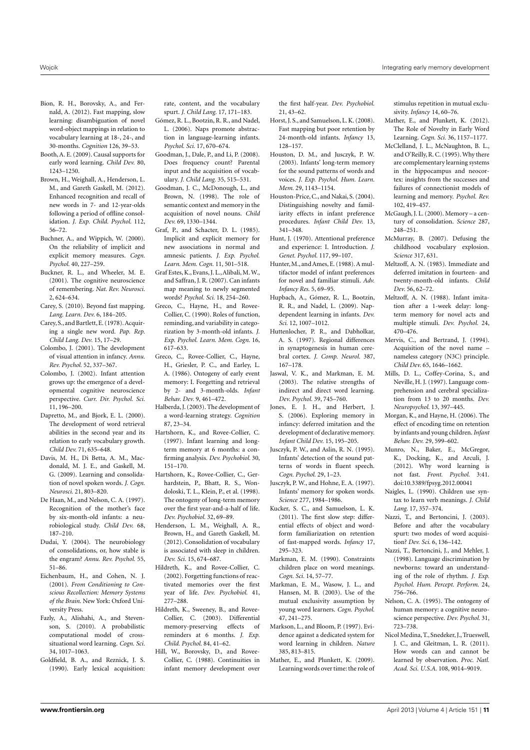- <span id="page-11-5"></span>Bion, R. H., Borovsky, A., and Fernald, A. (2012). Fast mapping, slow learning: disambiguation of novel word-object mappings in relation to vocabulary learning at 18-, 24-, and 30-months. *Cognition* 126, 39–53.
- <span id="page-11-22"></span>Booth, A. E. (2009). Causal supports for early word learning. *Child Dev.* 80, 1243–1250.
- <span id="page-11-42"></span>Brown, H., Weighall, A., Henderson, L. M., and Gareth Gaskell, M. (2012). Enhanced recognition and recall of new words in 7- and 12-year-olds following a period of offline consolidation. *J. Exp. Child. Psychol.* 112, 56–72.
- <span id="page-11-12"></span>Buchner, A., and Wippich, W. (2000). On the reliability of implicit and explicit memory measures. *Cogn. Psychol.* 40, 227–259.
- <span id="page-11-7"></span>Buckner, R. L., and Wheeler, M. E. (2001). The cognitive neuroscience of remembering. *Nat. Rev. Neurosci.* 2, 624–634.
- <span id="page-11-59"></span>Carey, S. (2010). Beyond fast mapping. *Lang. Learn. Dev.* 6, 184–205.
- <span id="page-11-0"></span>Carey,S., and Bartlett, E. (1978).Acquiring a single new word. *Pap. Rep. Child Lang. Dev.* 15, 17–29.

<span id="page-11-39"></span>Colombo, J. (2001). The development of visual attention in infancy. *Annu. Rev. Psychol.* 52, 337–367.

- <span id="page-11-40"></span>Colombo, J. (2002). Infant attention grows up: the emergence of a developmental cognitive neuroscience perspective. *Curr. Dir. Psychol. Sci.* 11, 196–200.
- <span id="page-11-55"></span>Dapretto, M., and Bjork, E. L. (2000). The development of word retrieval abilities in the second year and its relation to early vocabulary growth. *Child Dev.* 71, 635–648.
- <span id="page-11-34"></span>Davis, M. H., Di Betta, A. M., Macdonald, M. J. E., and Gaskell, M. G. (2009). Learning and consolidation of novel spoken words. *J. Cogn. Neurosci.* 21, 803–820.
- <span id="page-11-45"></span>De Haan, M., and Nelson, C. A. (1997). Recognition of the mother's face by six-month-old infants: a neurobiological study. *Child Dev.* 68, 187–210.
- <span id="page-11-6"></span>Dudai, Y. (2004). The neurobiology of consolidations, or, how stable is the engram? *Annu. Rev. Psychol.* 55, 51–86.
- <span id="page-11-1"></span>Eichenbaum, H., and Cohen, N. J. (2001). *From Conditioning to Conscious Recollection: Memory Systems of the Brain*. New York: Oxford University Press.
- <span id="page-11-53"></span>Fazly, A., Alishahi, A., and Stevenson, S. (2010). A probabilistic computational model of crosssituational word learning. *Cogn. Sci.* 34, 1017–1063.
- <span id="page-11-50"></span>Goldfield, B. A., and Reznick, J. S. (1990). Early lexical acquisition:

rate, content, and the vocabulary spurt. *J. Child Lang.* 17, 171–183.

- <span id="page-11-46"></span>Gómez, R. L., Bootzin, R. R., and Nadel, L. (2006). Naps promote abstraction in language-learning infants. *Psychol. Sci.* 17, 670–674.
- <span id="page-11-58"></span>Goodman, J., Dale, P., and Li, P. (2008). Does frequency count? Parental input and the acquisition of vocabulary. *J. Child Lang.* 35, 515–531.
- <span id="page-11-15"></span>Goodman, J. C., McDonough, L., and Brown, N. (1998). The role of semantic context and memory in the acquisition of novel nouns. *Child Dev.* 69, 1330–1344.
- <span id="page-11-11"></span>Graf, P., and Schacter, D. L. (1985). Implicit and explicit memory for new associations in normal and amnesic patients. *J. Exp. Psychol. Learn. Mem. Cogn.* 11, 501–518.
- <span id="page-11-60"></span>Graf Estes, K., Evans, J. L.,Alibali,M.W., and Saffran, J. R. (2007). Can infants map meaning to newly segmented words? *Psychol. Sci.* 18, 254–260.
- <span id="page-11-29"></span>Greco, C., Hayne, H., and Rovee-Collier, C. (1990). Roles of function, reminding, and variability in categorization by 3-month-old infants. *J. Exp. Psychol. Learn. Mem. Cogn.* 16, 617–633.
- <span id="page-11-23"></span>Greco, C., Rovee-Collier, C., Hayne, H., Griesler, P. C., and Earley, L. A. (1986). Ontogeny of early event memory: I. Forgetting and retrieval by 2- and 3-month-olds. *Infant Behav. Dev.* 9, 461–472.
- <span id="page-11-8"></span>Halberda, J. (2003). The development of a word-learning strategy. *Cognition* 87, 23–34.
- <span id="page-11-31"></span>Hartshorn, K., and Rovee-Collier, C. (1997). Infant learning and longterm memory at 6 months: a confirming analysis. *Dev. Psychobiol.* 30, 151–170.
- <span id="page-11-28"></span>Hartshorn, K., Rovee-Collier, C., Gerhardstein, P., Bhatt, R. S., Wondoloski, T. L., Klein, P., et al. (1998). The ontogeny of long-term memory over the first year-and-a-half of life. *Dev. Psychobiol.* 32, 69–89.
- <span id="page-11-43"></span>Henderson, L. M., Weighall, A. R., Brown, H., and Gareth Gaskell, M. (2012). Consolidation of vocabulary is associated with sleep in children. *Dev. Sci.* 15, 674–687.
- <span id="page-11-48"></span>Hildreth, K., and Rovee-Collier, C. (2002). Forgetting functions of reactivated memories over the first year of life. *Dev. Psychobiol.* 41, 277–288.
- <span id="page-11-49"></span>Hildreth, K., Sweeney, B., and Rovee-Collier, C. (2003). Differential memory-preserving effects of reminders at 6 months. *J. Exp. Child. Psychol.* 84, 41–62.
- <span id="page-11-30"></span>Hill, W., Borovsky, D., and Rovee-Collier, C. (1988). Continuities in infant memory development over

the first half-year. *Dev. Psychobiol.* 21, 43–62.

- <span id="page-11-14"></span>Horst, J. S., and Samuelson, L. K. (2008). Fast mapping but poor retention by 24-month-old infants. *Infancy* 13, 128–157.
- <span id="page-11-10"></span>Houston, D. M., and Jusczyk, P. W. (2003). Infants' long-term memory for the sound patterns of words and voices. *J. Exp. Psychol. Hum. Learn. Mem.* 29, 1143–1154.
- <span id="page-11-38"></span>Houston-Price, C., and Nakai, S. (2004). Distinguishing novelty and familiarity effects in infant preference procedures. *Infant Child Dev.* 13, 341–348.
- <span id="page-11-36"></span>Hunt, J. (1970). Attentional preference and experience: I. Introduction. *J. Genet. Psychol.* 117, 99–107.
- <span id="page-11-37"></span>Hunter,M., and Ames, E. (1988). A multifactor model of infant preferences for novel and familiar stimuli. *Adv. Infancy Res.* 5, 69–95.
- <span id="page-11-47"></span>Hupbach, A., Gómez, R. L., Bootzin, R. R., and Nadel, L. (2009). Napdependent learning in infants. *Dev. Sci.* 12, 1007–1012.
- <span id="page-11-44"></span>Huttenlocher, P. R., and Dabholkar, A. S. (1997). Regional differences in synaptogenesis in human cerebral cortex. *J. Comp. Neurol.* 387, 167–178.
- <span id="page-11-18"></span>Jaswal, V. K., and Markman, E. M. (2003). The relative strengths of indirect and direct word learning. *Dev. Psychol.* 39, 745–760.
- <span id="page-11-32"></span>Jones, E. J. H., and Herbert, J. S. (2006). Exploring memory in infancy: deferred imitation and the development of declarative memory. *Infant Child Dev.* 15, 195–205.
- <span id="page-11-2"></span>Jusczyk, P. W., and Aslin, R. N. (1995). Infants' detection of the sound patterns of words in fluent speech. *Cogn. Psychol.* 29, 1–23.
- <span id="page-11-9"></span>Jusczyk, P. W., and Hohne, E. A. (1997). Infants' memory for spoken words. *Science* 277, 1984–1986.
- <span id="page-11-21"></span>Kucker, S. C., and Samuelson, L. K. (2011). The first slow step: differential effects of object and wordform familiarization on retention of fast-mapped words. *Infancy* 17, 295–323.
- <span id="page-11-13"></span>Markman, E. M. (1990). Constraints children place on word meanings. *Cogn. Sci.* 14, 57–77.
- <span id="page-11-35"></span>Markman, E. M., Wasow, J. L., and Hansen, M. B. (2003). Use of the mutual exclusivity assumption by young word learners. *Cogn. Psychol.* 47, 241–275.
- <span id="page-11-17"></span>Markson, L., and Bloom, P. (1997). Evidence against a dedicated system for word learning in children. *Nature* 385, 813–815.
- <span id="page-11-56"></span>Mather, E., and Plunkett, K. (2009). Learning words over time: the role of

stimulus repetition in mutual exclusivity. *Infancy* 14, 60–76.

- <span id="page-11-20"></span>Mather, E., and Plunkett, K. (2012). The Role of Novelty in Early Word Learning. *Cogn. Sci.* 36, 1157–1177.
- <span id="page-11-57"></span>McClelland, J. L., McNaughton, B. L., and O'Reilly, R. C. (1995).Why there are complementary learning systems in the hippocampus and neocortex: insights from the successes and failures of connectionist models of learning and memory. *Psychol. Rev.* 102, 419–457.
- <span id="page-11-33"></span>McGaugh, J. L. (2000). Memory – a century of consolidation. *Science* 287, 248–251.
- <span id="page-11-52"></span>McMurray, B. (2007). Defusing the childhood vocabulary explosion. *Science* 317, 631.
- <span id="page-11-25"></span>Meltzoff, A. N. (1985). Immediate and deferred imitation in fourteen- and twenty-month-old infants. *Child Dev.* 56, 62–72.
- <span id="page-11-26"></span>Meltzoff, A. N. (1988). Infant imitation after a 1-week delay: longterm memory for novel acts and multiple stimuli. *Dev. Psychol.* 24, 470–476.
- <span id="page-11-16"></span>Mervis, C., and Bertrand, J. (1994). Acquisition of the novel name – nameless category (N3C) principle. *Child Dev.* 65, 1646–1662.
- <span id="page-11-51"></span>Mills, D. L., Coffey-Corina, S., and Neville, H. J. (1997). Language comprehension and cerebral specialization from 13 to 20 months. *Dev. Neuropsychol.* 13, 397–445.
- <span id="page-11-41"></span>Morgan, K., and Hayne, H. (2006). The effect of encoding time on retention by infants and young children.*Infant Behav. Dev.* 29, 599–602.
- <span id="page-11-19"></span>Munro, N., Baker, E., McGregor, K., Docking, K., and Arculi, J. (2012). Why word learning is not fast. *Front. Psychol.* 3:41. doi[:10.3389/fpsyg.2012.00041](http://dx.doi.org/10.3389/fpsyg.2012.00041)
- <span id="page-11-4"></span>Naigles, L. (1990). Children use syntax to learn verb meanings. *J. Child Lang.* 17, 357–374.
- <span id="page-11-54"></span>Nazzi, T., and Bertoncini, J. (2003). Before and after the vocabulary spurt: two modes of word acquisition? *Dev. Sci.* 6, 136–142.
- <span id="page-11-3"></span>Nazzi, T., Bertoncini, J., and Mehler, J. (1998). Language discrimination by newborns: toward an understanding of the role of rhythm. *J. Exp. Psychol. Hum. Percept. Perform.* 24, 756–766.
- <span id="page-11-24"></span>Nelson, C. A. (1995). The ontogeny of human memory: a cognitive neuroscience perspective. *Dev. Psychol.* 31, 723–738.
- <span id="page-11-27"></span>Nicol Medina, T., Snedeker, J., Trueswell, J. C., and Gleitman, L. R. (2011). How words can and cannot be learned by observation. *Proc. Natl. Acad. Sci. U.S.A.* 108, 9014–9019.